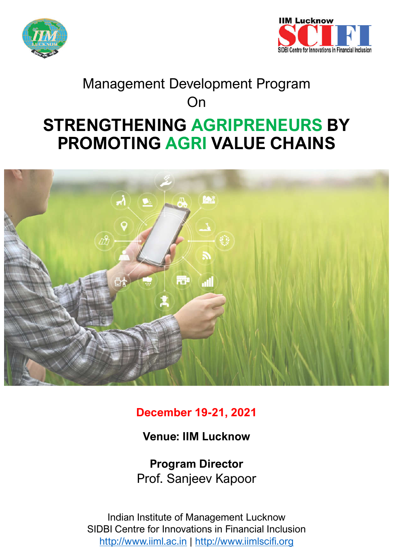



# **STRENGTHENING AGRIPRENEURS BY PROMOTING AGRI VALUE CHAINS**  Management Development Program On



**December 19-21, 2021**

**Venue: IIM Lucknow**

**Program Director** Prof. Sanjeev Kapoor

Indian Institute of Management Lucknow SIDBI Centre for Innovations in Financial Inclusion http://www.iiml.ac.in | http://www.iimlscifi.org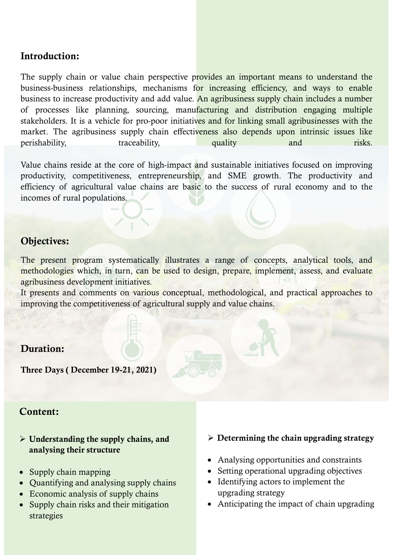## **Introduction:**

The supply chain or value chain perspective provides an important means to understand the business-business relationships, mechanisms for increasing efficiency, and ways to enable business to increase productivity and add value. An agribusiness supply chain includes a number of processes like planning, sourcing, manufacturing and distribution engaging multiple stakeholders. It is a vehicle for pro-poor initiatives and for linking small agribusinesses with the market. The agribusiness supply chain effectiveness also depends upon intrinsic issues like perishability, traceability, quality and risks.

Value chains reside at the core of high-impact and sustainable initiatives focused on improving productivity, competitiveness, entrepreneurship, and SME growth. The productivity and efficiency of agricultural value chains are basic to the success of rural economy and to the incomes of rural populations.

# **Objectives:**

The present program systematically illustrates a range of concepts, analytical tools, and methodologies which, in turn, can be used to design, prepare, implement, assess, and evaluate agribusiness development initiatives.

It presents and comments on various conceptual, methodological, and practical approaches to improving the competitiveness of agricultural supply and value chains.

## **Duration:**

**Three Days ( December 19-21, 2021)**

## **Content:**

#### **Understanding the supply chains, and analysing their structure**

- Supply chain mapping
- Quantifying and analysing supply chains
- Economic analysis of supply chains
- Supply chain risks and their mitigation strategies

### **Determining the chain upgrading strategy**

- Analysing opportunities and constraints
- Setting operational upgrading objectives
- Identifying actors to implement the upgrading strategy
- Anticipating the impact of chain upgrading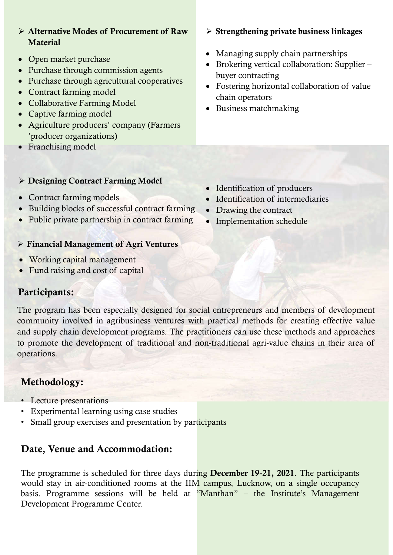- **Alternative Modes of Procurement of Raw Material**
- Open market purchase
- Purchase through commission agents
- Purchase through agricultural cooperatives
- Contract farming model
- Collaborative Farming Model
- Captive farming model
- Agriculture producers' company (Farmers 'producer organizations)
- Franchising model

#### **Designing Contract Farming Model**

- Contract farming models
- Building blocks of successful contract farming
- Public private partnership in contract farming

### **Financial Management of Agri Ventures**

- Working capital management
- Fund raising and cost of capital

## **Participants:**

The program has been especially designed for social entrepreneurs and members of development community involved in agribusiness ventures with practical methods for creating effective value and supply chain development programs. The practitioners can use these methods and approaches to promote the development of traditional and non-traditional agri-value chains in their area of operations.

# **Methodology:**

- Lecture presentations
- Experimental learning using case studies
- Small group exercises and presentation by participants

# **Date, Venue and Accommodation:**

The programme is scheduled for three days during **December 19-21, 2021**. The participants would stay in air-conditioned rooms at the IIM campus, Lucknow, on a single occupancy basis. Programme sessions will be held at "Manthan" – the Institute's Management Development Programme Center.

#### **Strengthening private business linkages**

- Managing supply chain partnerships
- Brokering vertical collaboration: Supplier buyer contracting
- Fostering horizontal collaboration of value chain operators
- Business matchmaking

- Identification of producers
- Identification of intermediaries
- Drawing the contract
- Implementation schedule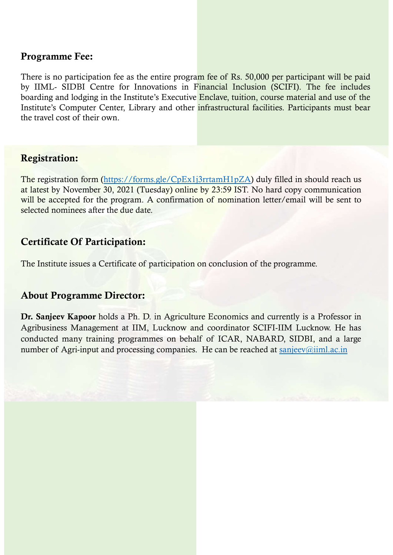## **Programme Fee:**

There is no participation fee as the entire program fee of Rs. 50,000 per participant will be paid by IIML- SIDBI Centre for Innovations in Financial Inclusion (SCIFI). The fee includes boarding and lodging in the Institute's Executive Enclave, tuition, course material and use of the Institute's Computer Center, Library and other infrastructural facilities. Participants must bear the travel cost of their own.

## **Registration:**

The registration form (https://forms.gle/CpEx1j3rrtamH1pZA) duly filled in should reach us at latest by November 30, 2021 (Tuesday) online by 23:59 IST. No hard copy communication will be accepted for the program. A confirmation of nomination letter/email will be sent to selected nominees after the due date.

# **Certificate Of Participation:**

The Institute issues a Certificate of participation on conclusion of the programme.

# **About Programme Director:**

**Dr. Sanjeev Kapoor** holds a Ph. D. in Agriculture Economics and currently is a Professor in Agribusiness Management at IIM, Lucknow and coordinator SCIFI-IIM Lucknow. He has conducted many training programmes on behalf of ICAR, NABARD, SIDBI, and a large number of Agri-input and processing companies. He can be reached at sanjeev@iiml.ac.in